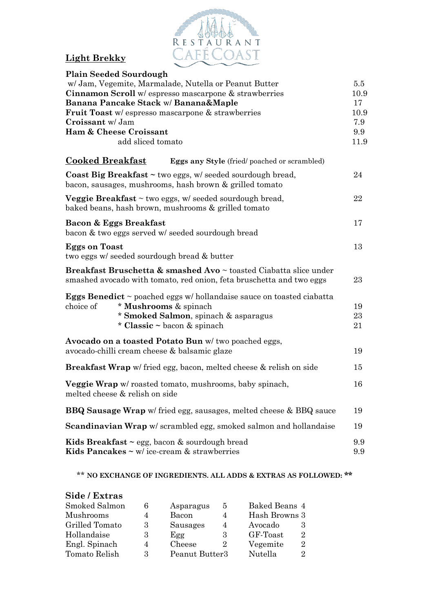

# **Light Brekky**

|                                                                 | <b>Plain Seeded Sourdough</b>                                                                                                                             |         |
|-----------------------------------------------------------------|-----------------------------------------------------------------------------------------------------------------------------------------------------------|---------|
|                                                                 | w/ Jam, Vegemite, Marmalade, Nutella or Peanut Butter                                                                                                     | $5.5\,$ |
| <b>Cinnamon Scroll</b> w/ espresso mascarpone $\&$ strawberries |                                                                                                                                                           |         |
|                                                                 | Banana Pancake Stack w/ Banana&Maple                                                                                                                      | 17      |
|                                                                 | <b>Fruit Toast</b> w/ espresso mascarpone & strawberries                                                                                                  | 10.9    |
| Croissant w/ Jam                                                |                                                                                                                                                           | 7.9     |
| <b>Ham &amp; Cheese Croissant</b>                               |                                                                                                                                                           |         |
|                                                                 | add sliced tomato                                                                                                                                         | 11.9    |
| <b>Cooked Breakfast</b>                                         | <b>Eggs any Style</b> (fried/poached or scrambled)                                                                                                        |         |
|                                                                 | Coast Big Breakfast $\sim$ two eggs, w/ seeded sourdough bread,<br>bacon, sausages, mushrooms, hash brown & grilled tomato                                | 24      |
|                                                                 | <b>Veggie Breakfast</b> $\sim$ two eggs, w/ seeded sourdough bread,<br>baked beans, hash brown, mushrooms & grilled tomato                                | 22      |
|                                                                 | Bacon & Eggs Breakfast                                                                                                                                    | 17      |
|                                                                 | bacon & two eggs served w/ seeded sourdough bread                                                                                                         |         |
| <b>Eggs on Toast</b>                                            |                                                                                                                                                           | 13      |
|                                                                 | two eggs w/ seeded sourdough bread & butter                                                                                                               |         |
|                                                                 | <b>Breakfast Bruschetta &amp; smashed Avo</b> $\sim$ toasted Ciabatta slice under<br>smashed avocado with tomato, red onion, feta bruschetta and two eggs | 23      |
|                                                                 | <b>Eggs Benedict</b> $\sim$ poached eggs w/ hollandaise sauce on toasted ciabatta                                                                         |         |
| choice of                                                       | * Mushrooms & spinach                                                                                                                                     | 19      |
|                                                                 | * Smoked Salmon, spinach & asparagus                                                                                                                      | 23      |
|                                                                 | * Classic $\sim$ bacon & spinach                                                                                                                          | 21      |
|                                                                 | Avocado on a toasted Potato Bun w/ two poached eggs,                                                                                                      |         |
|                                                                 | avocado-chilli cream cheese & balsamic glaze                                                                                                              | 19      |
|                                                                 |                                                                                                                                                           |         |
|                                                                 | Breakfast Wrap w/ fried egg, bacon, melted cheese & relish on side                                                                                        | 15      |
|                                                                 | Veggie Wrap w/ roasted tomato, mushrooms, baby spinach,<br>melted cheese & relish on side                                                                 | 16      |
|                                                                 | <b>BBQ Sausage Wrap</b> w/ fried egg, sausages, melted cheese & BBQ sauce                                                                                 | 19      |
|                                                                 | <b>Scandinavian Wrap</b> w/ scrambled egg, smoked salmon and hollandaise                                                                                  | 19      |
|                                                                 |                                                                                                                                                           | 9.9     |
|                                                                 | <b>Kids Breakfast</b> $\sim$ egg, bacon $\&$ sourdough bread<br>Kids Pancakes $\sim$ w/ ice-cream $\&$ strawberries                                       | 9.9     |
|                                                                 |                                                                                                                                                           |         |

### \*\* **NO EXCHANGE OF INGREDIENTS. ALL ADDS & EXTRAS AS FOLLOWED: \*\***

#### **Side / Extras** Smoked Salmon 6 Asparagus 5 Baked Beans 4 Mushrooms 4 Bacon 4 Hash Browns 3<br>Grilled Tomato 3 Sausages 4 Avocado 3 Grilled Tomato 3 Sausages 4 Avocado 3 Hollandaise 3 Egg 3 GF-Toast 2 Engl. Spinach 4 Cheese 2 Vegemite 2 Tomato Relish 3 Peanut Butter3 Nutella 2